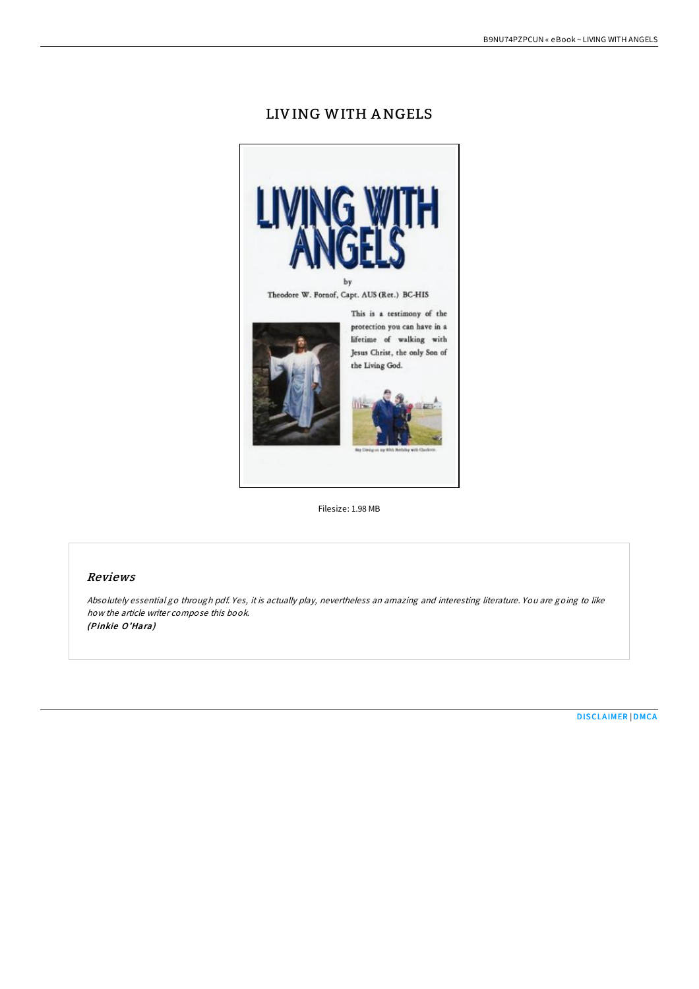# LIVING WITH ANGELS



Filesize: 1.98 MB

### Reviews

Absolutely essential go through pdf. Yes, it is actually play, nevertheless an amazing and interesting literature. You are going to like how the article writer compose this book. (Pinkie O'Hara)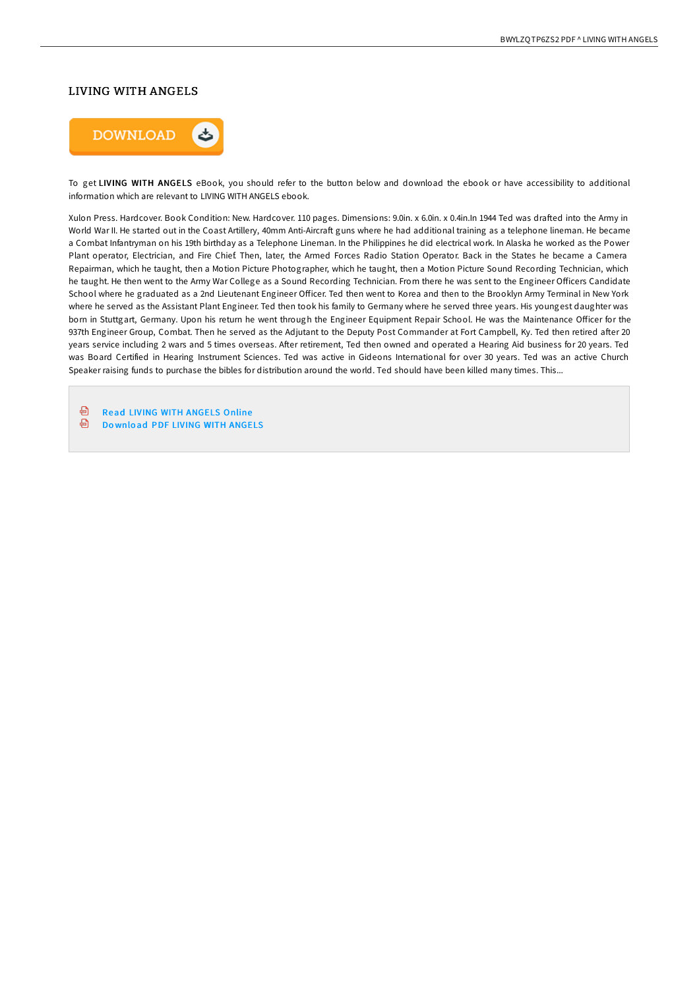#### LIVING WITH ANGELS



To get LIVING WITH ANGELS eBook, you should refer to the button below and download the ebook or have accessibility to additional information which are relevant to LIVING WITH ANGELS ebook.

Xulon Press. Hardcover. Book Condition: New. Hardcover. 110 pages. Dimensions: 9.0in. x 6.0in. x 0.4in. In 1944 Ted was drafted into the Army in World War II. He started out in the Coast Artillery, 40mm Anti-Aircraft guns where he had additional training as a telephone lineman. He became a Combat Infantryman on his 19th birthday as a Telephone Lineman. In the Philippines he did electrical work. In Alaska he worked as the Power Plant operator, Electrician, and Fire Chief. Then, later, the Armed Forces Radio Station Operator. Back in the States he became a Camera Repairman, which he taught, then a Motion Picture Photographer, which he taught, then a Motion Picture Sound Recording Technician, which he taught. He then went to the Army War College as a Sound Recording Technician. From there he was sent to the Engineer OFicers Candidate School where he graduated as a 2nd Lieutenant Engineer OFicer. Ted then went to Korea and then to the Brooklyn Army Terminal in New York where he served as the Assistant Plant Engineer. Ted then took his family to Germany where he served three years. His youngest daughter was born in Stuttgart, Germany. Upon his return he went through the Engineer Equipment Repair School. He was the Maintenance OFicer for the 937th Engineer Group, Combat. Then he served as the Adjutant to the Deputy Post Commander at Fort Campbell, Ky. Ted then retired after 20 years service including 2 wars and 5 times overseas. After retirement, Ted then owned and operated a Hearing Aid business for 20 years. Ted was Board Certified in Hearing Instrument Sciences. Ted was active in Gideons International for over 30 years. Ted was an active Church Speaker raising funds to purchase the bibles for distribution around the world. Ted should have been killed many times. This...

⊕ Read LIVING WITH [ANGELS](http://almighty24.tech/living-with-angels.html) Online

霝 Do wnlo ad PDF LIVING WITH [ANGELS](http://almighty24.tech/living-with-angels.html)